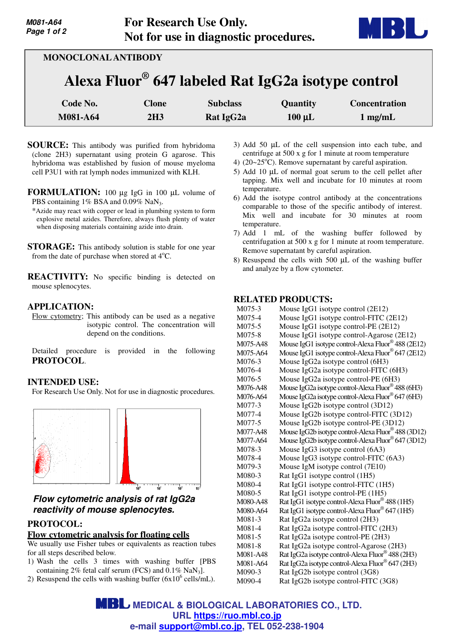

| <b>MONOCLONAL ANTIBODY</b>                                     |                     |                                          |                         |                                   |  |  |
|----------------------------------------------------------------|---------------------|------------------------------------------|-------------------------|-----------------------------------|--|--|
| Alexa Fluor <sup>®</sup> 647 labeled Rat IgG2a isotype control |                     |                                          |                         |                                   |  |  |
| Code No.<br>M081-A64                                           | <b>Clone</b><br>2H3 | <b>Subclass</b><br>Rat IgG <sub>2a</sub> | Quantity<br>$100 \mu L$ | <b>Concentration</b><br>$1$ mg/mL |  |  |

- **SOURCE:** This antibody was purified from hybridoma (clone 2H3) supernatant using protein G agarose. This hybridoma was established by fusion of mouse myeloma cell P3U1 with rat lymph nodes immunized with KLH.
- **FORMULATION:** 100 µg IgG in 100 µL volume of PBS containing 1% BSA and 0.09% NaN<sub>3</sub>.
	- \*Azide may react with copper or lead in plumbing system to form explosive metal azides. Therefore, always flush plenty of water when disposing materials containing azide into drain.
- **STORAGE:** This antibody solution is stable for one year from the date of purchase when stored at  $4^{\circ}$ C.
- **REACTIVITY:** No specific binding is detected on mouse splenocytes.

## **APPLICATION:**

**M081-A64 Page 1 of 2**

Flow cytometry; This antibody can be used as a negative isotypic control. The concentration will depend on the conditions.

Detailed procedure is provided in the following **PROTOCOL**.

## **INTENDED USE:**

For Research Use Only. Not for use in diagnostic procedures.



# **Flow cytometric analysis of rat IgG2a reactivity of mouse splenocytes.**

## **PROTOCOL:**

## **Flow cytometric analysis for floating cells**

We usually use Fisher tubes or equivalents as reaction tubes for all steps described below.

- 1) Wash the cells 3 times with washing buffer [PBS containing  $2\%$  fetal calf serum (FCS) and  $0.1\%$  NaN<sub>3</sub>].
- 2) Resuspend the cells with washing buffer  $(6x10^6 \text{ cells/mL})$ .
- 3) Add 50 µL of the cell suspension into each tube, and centrifuge at 500 x g for 1 minute at room temperature
- 4) ( $20~25$ °C). Remove supernatant by careful aspiration.
- 5) Add 10 µL of normal goat serum to the cell pellet after tapping. Mix well and incubate for 10 minutes at room temperature.
- 6) Add the isotype control antibody at the concentrations comparable to those of the specific antibody of interest. Mix well and incubate for 30 minutes at room temperature.
- 7) Add 1 mL of the washing buffer followed by centrifugation at 500 x g for 1 minute at room temperature. Remove supernatant by careful aspiration.
- 8) Resuspend the cells with 500 µL of the washing buffer and analyze by a flow cytometer.

## **RELATED PRODUCTS:**

| M075-3   | Mouse IgG1 isotype control (2E12)                               |
|----------|-----------------------------------------------------------------|
| M075-4   | Mouse IgG1 isotype control-FITC (2E12)                          |
| M075-5   | Mouse IgG1 isotype control-PE (2E12)                            |
| M075-8   | Mouse IgG1 isotype control-Agarose (2E12)                       |
| M075-A48 | Mouse IgG1 isotype control-Alexa Fluor® 488 (2E12)              |
| M075-A64 | Mouse IgG1 isotype control-Alexa Fluor <sup>®</sup> 647 (2E12)  |
| M076-3   | Mouse IgG2a isotype control (6H3)                               |
| M076-4   | Mouse IgG2a isotype control-FITC (6H3)                          |
| M076-5   | Mouse IgG2a isotype control-PE (6H3)                            |
| M076-A48 | Mouse IgG2a isotype control-Alexa Fluor® 488 (6H3)              |
| M076-A64 | Mouse IgG2a isotype control-Alexa Fluor® 647 (6H3)              |
| M077-3   | Mouse IgG2b isotype control (3D12)                              |
| M077-4   | Mouse IgG2b isotype control-FITC (3D12)                         |
| M077-5   | Mouse IgG2b isotype control-PE (3D12)                           |
| M077-A48 | Mouse IgG2b isotype control-Alexa Fluor <sup>®</sup> 488 (3D12) |
| M077-A64 | Mouse IgG2b isotype control-Alexa Fluor® 647 (3D12)             |
| M078-3   | Mouse IgG3 isotype control (6A3)                                |
| M078-4   | Mouse IgG3 isotype control-FITC (6A3)                           |
| M079-3   | Mouse IgM isotype control (7E10)                                |
| M080-3   | Rat IgG1 isotype control (1H5)                                  |
| M080-4   | Rat IgG1 isotype control-FITC (1H5)                             |
| M080-5   | Rat IgG1 isotype control-PE (1H5)                               |
| M080-A48 | Rat IgG1 isotype control-Alexa Fluor® 488 (1H5)                 |
| M080-A64 | Rat IgG1 isotype control-Alexa Fluor® 647 (1H5)                 |
| M081-3   | Rat IgG2a isotype control (2H3)                                 |
| M081-4   | Rat IgG2a isotype control-FITC (2H3)                            |
| M081-5   | Rat IgG2a isotype control-PE (2H3)                              |
| M081-8   | Rat IgG2a isotype control-Agarose (2H3)                         |
| M081-A48 | Rat IgG2a isotype control-Alexa Fluor® 488 (2H3)                |
| M081-A64 | Rat IgG2a isotype control-Alexa Fluor® 647 (2H3)                |
| M090-3   | Rat IgG2b isotype control (3G8)                                 |
| M090-4   | Rat IgG2b isotype control-FITC (3G8)                            |

**MBL** MEDICAL & BIOLOGICAL LABORATORIES CO., LTD. **URL https://ruo.mbl.co.jp e-mail support@mbl.co.jp, TEL 052-238-1904**